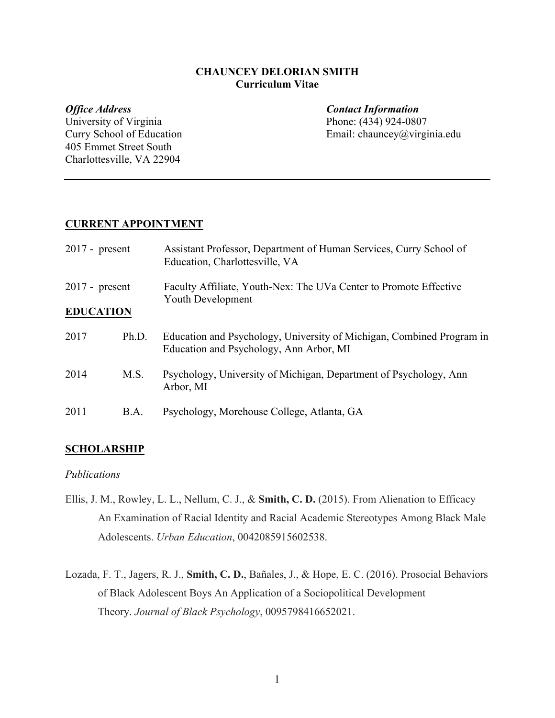## **CHAUNCEY DELORIAN SMITH Curriculum Vitae**

University of Virginia Phone: (434) 924-0807 405 Emmet Street South Charlottesville, VA 22904

*Office Address Contact Information* Curry School of Education Email: chauncey@virginia.edu

# **CURRENT APPOINTMENT**

| $2017$ - present<br>$2017$ - present<br><b>EDUCATION</b> |             | Assistant Professor, Department of Human Services, Curry School of<br>Education, Charlottesville, VA             |  |
|----------------------------------------------------------|-------------|------------------------------------------------------------------------------------------------------------------|--|
|                                                          |             | Faculty Affiliate, Youth-Nex: The UVa Center to Promote Effective<br><b>Youth Development</b>                    |  |
| 2017                                                     | Ph.D.       | Education and Psychology, University of Michigan, Combined Program in<br>Education and Psychology, Ann Arbor, MI |  |
| 2014                                                     | M.S.        | Psychology, University of Michigan, Department of Psychology, Ann<br>Arbor, MI                                   |  |
| 2011                                                     | <b>B.A.</b> | Psychology, Morehouse College, Atlanta, GA                                                                       |  |

# **SCHOLARSHIP**

## *Publications*

- Ellis, J. M., Rowley, L. L., Nellum, C. J., & **Smith, C. D.** (2015). From Alienation to Efficacy An Examination of Racial Identity and Racial Academic Stereotypes Among Black Male Adolescents. *Urban Education*, 0042085915602538.
- Lozada, F. T., Jagers, R. J., **Smith, C. D.**, Bañales, J., & Hope, E. C. (2016). Prosocial Behaviors of Black Adolescent Boys An Application of a Sociopolitical Development Theory. *Journal of Black Psychology*, 0095798416652021.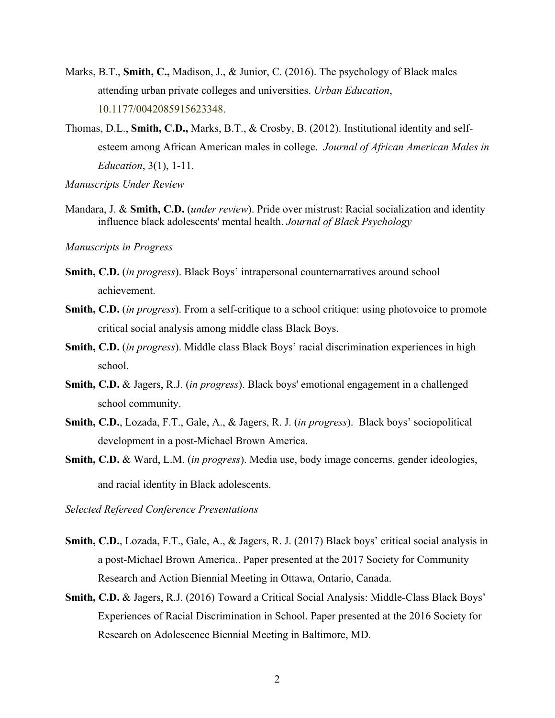- Marks, B.T., **Smith, C.,** Madison, J., & Junior, C. (2016). The psychology of Black males attending urban private colleges and universities. *Urban Education*, 10.1177/0042085915623348.
- Thomas, D.L., **Smith, C.D.,** Marks, B.T., & Crosby, B. (2012). Institutional identity and selfesteem among African American males in college. *Journal of African American Males in Education*, 3(1), 1-11.

*Manuscripts Under Review*

Mandara, J. & **Smith, C.D.** (*under review*). Pride over mistrust: Racial socialization and identity influence black adolescents' mental health. *Journal of Black Psychology*

*Manuscripts in Progress*

- **Smith, C.D.** (*in progress*). Black Boys' intrapersonal counternarratives around school achievement.
- **Smith, C.D.** (*in progress*). From a self-critique to a school critique: using photovoice to promote critical social analysis among middle class Black Boys.
- **Smith, C.D.** (*in progress*). Middle class Black Boys' racial discrimination experiences in high school.
- **Smith, C.D.** & Jagers, R.J. (*in progress*). Black boys' emotional engagement in a challenged school community.
- **Smith, C.D.**, Lozada, F.T., Gale, A., & Jagers, R. J. (*in progress*). Black boys' sociopolitical development in a post-Michael Brown America.
- **Smith, C.D.** & Ward, L.M. (*in progress*). Media use, body image concerns, gender ideologies, and racial identity in Black adolescents.

*Selected Refereed Conference Presentations*

- **Smith, C.D.**, Lozada, F.T., Gale, A., & Jagers, R. J. (2017) Black boys' critical social analysis in a post-Michael Brown America.. Paper presented at the 2017 Society for Community Research and Action Biennial Meeting in Ottawa, Ontario, Canada.
- **Smith, C.D.** & Jagers, R.J. (2016) Toward a Critical Social Analysis: Middle-Class Black Boys' Experiences of Racial Discrimination in School. Paper presented at the 2016 Society for Research on Adolescence Biennial Meeting in Baltimore, MD.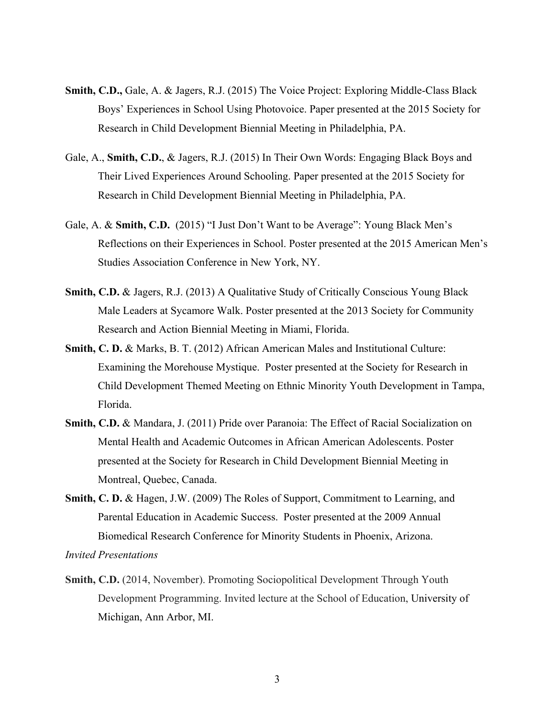- **Smith, C.D.,** Gale, A. & Jagers, R.J. (2015) The Voice Project: Exploring Middle-Class Black Boys' Experiences in School Using Photovoice. Paper presented at the 2015 Society for Research in Child Development Biennial Meeting in Philadelphia, PA.
- Gale, A., **Smith, C.D.**, & Jagers, R.J. (2015) In Their Own Words: Engaging Black Boys and Their Lived Experiences Around Schooling. Paper presented at the 2015 Society for Research in Child Development Biennial Meeting in Philadelphia, PA.
- Gale, A. & **Smith, C.D.** (2015) "I Just Don't Want to be Average": Young Black Men's Reflections on their Experiences in School. Poster presented at the 2015 American Men's Studies Association Conference in New York, NY.
- **Smith, C.D.** & Jagers, R.J. (2013) A Qualitative Study of Critically Conscious Young Black Male Leaders at Sycamore Walk. Poster presented at the 2013 Society for Community Research and Action Biennial Meeting in Miami, Florida.
- **Smith, C. D.** & Marks, B. T. (2012) African American Males and Institutional Culture: Examining the Morehouse Mystique. Poster presented at the Society for Research in Child Development Themed Meeting on Ethnic Minority Youth Development in Tampa, Florida.
- **Smith, C.D.** & Mandara, J. (2011) Pride over Paranoia: The Effect of Racial Socialization on Mental Health and Academic Outcomes in African American Adolescents. Poster presented at the Society for Research in Child Development Biennial Meeting in Montreal, Quebec, Canada.
- **Smith, C. D.** & Hagen, J.W. (2009) The Roles of Support, Commitment to Learning, and Parental Education in Academic Success. Poster presented at the 2009 Annual Biomedical Research Conference for Minority Students in Phoenix, Arizona.

*Invited Presentations*

**Smith, C.D.** (2014, November). Promoting Sociopolitical Development Through Youth Development Programming. Invited lecture at the School of Education, University of Michigan, Ann Arbor, MI.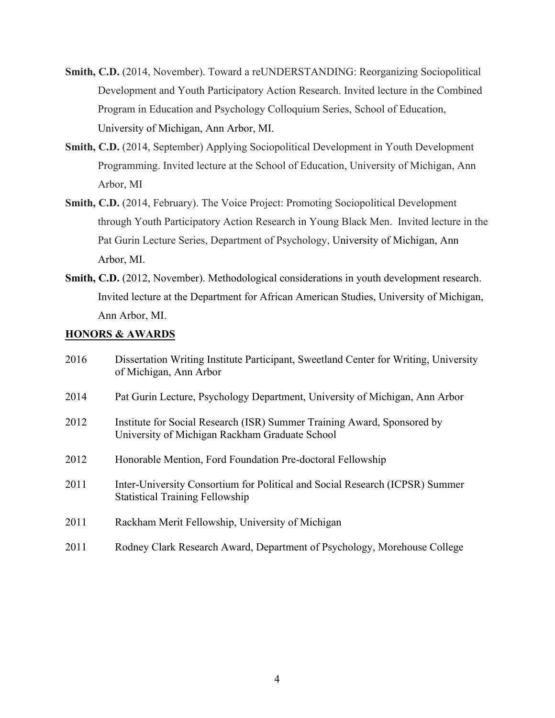- **Smith, C.D.** (2014, November). Toward a reUNDERSTANDING: Reorganizing Sociopolitical Development and Youth Participatory Action Research. Invited lecture in the Combined Program in Education and Psychology Colloquium Series, School of Education, University of Michigan, Ann Arbor, MI.
- **Smith, C.D.** (2014, September) Applying Sociopolitical Development in Youth Development Programming. Invited lecture at the School of Education, University of Michigan, Ann Arbor, MI
- **Smith, C.D.** (2014, February). The Voice Project: Promoting Sociopolitical Development through Youth Participatory Action Research in Young Black Men. Invited lecture in the Pat Gurin Lecture Series, Department of Psychology, University of Michigan, Ann Arbor, MI.
- **Smith, C.D.** (2012, November). Methodological considerations in youth development research. Invited lecture at the Department for African American Studies, University of Michigan, Ann Arbor, MI.

## **HONORS & AWARDS**

| 2016 | Dissertation Writing Institute Participant, Sweetland Center for Writing, University<br>of Michigan, Ann Arbor            |
|------|---------------------------------------------------------------------------------------------------------------------------|
| 2014 | Pat Gurin Lecture, Psychology Department, University of Michigan, Ann Arbor                                               |
| 2012 | Institute for Social Research (ISR) Summer Training Award, Sponsored by<br>University of Michigan Rackham Graduate School |
| 2012 | Honorable Mention, Ford Foundation Pre-doctoral Fellowship                                                                |
| 2011 | Inter-University Consortium for Political and Social Research (ICPSR) Summer<br><b>Statistical Training Fellowship</b>    |
| 2011 | Rackham Merit Fellowship, University of Michigan                                                                          |
| 2011 | Rodney Clark Research Award, Department of Psychology, Morehouse College                                                  |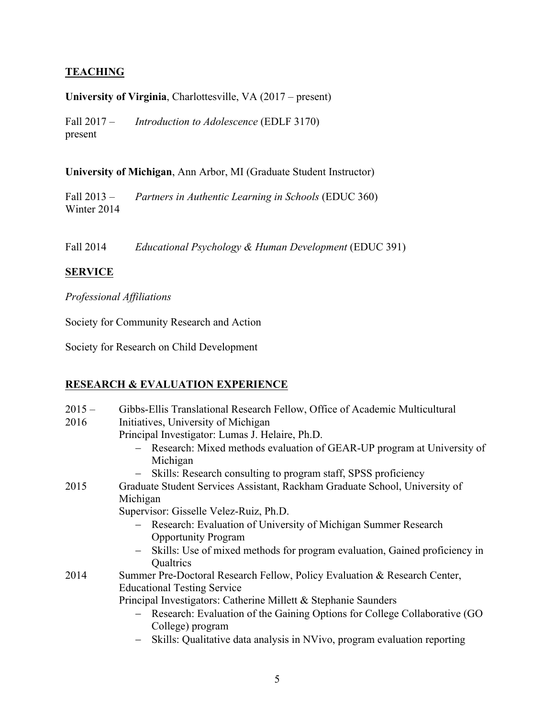# **TEACHING**

## **University of Virginia**, Charlottesville, VA (2017 – present)

Fall 2017 – present *Introduction to Adolescence* (EDLF 3170)

## **University of Michigan**, Ann Arbor, MI (Graduate Student Instructor)

Fall 2013 – Winter 2014 *Partners in Authentic Learning in Schools* (EDUC 360)

Fall 2014 *Educational Psychology & Human Development* (EDUC 391)

# **SERVICE**

# *Professional Affiliations*

Society for Community Research and Action

Society for Research on Child Development

# **RESEARCH & EVALUATION EXPERIENCE**

| $2015 -$ | Gibbs-Ellis Translational Research Fellow, Office of Academic Multicultural                     |  |  |  |
|----------|-------------------------------------------------------------------------------------------------|--|--|--|
| 2016     | Initiatives, University of Michigan                                                             |  |  |  |
|          | Principal Investigator: Lumas J. Helaire, Ph.D.                                                 |  |  |  |
|          | - Research: Mixed methods evaluation of GEAR-UP program at University of<br>Michigan            |  |  |  |
|          | Skills: Research consulting to program staff, SPSS proficiency<br>$\overline{\phantom{m}}$      |  |  |  |
| 2015     | Graduate Student Services Assistant, Rackham Graduate School, University of<br>Michigan         |  |  |  |
|          | Supervisor: Gisselle Velez-Ruiz, Ph.D.                                                          |  |  |  |
|          | - Research: Evaluation of University of Michigan Summer Research                                |  |  |  |
|          | <b>Opportunity Program</b>                                                                      |  |  |  |
|          | Skills: Use of mixed methods for program evaluation, Gained proficiency in<br>Qualtrics         |  |  |  |
|          |                                                                                                 |  |  |  |
| 2014     | Summer Pre-Doctoral Research Fellow, Policy Evaluation & Research Center,                       |  |  |  |
|          | <b>Educational Testing Service</b>                                                              |  |  |  |
|          | Principal Investigators: Catherine Millett & Stephanie Saunders                                 |  |  |  |
|          | - Research: Evaluation of the Gaining Options for College Collaborative (GO<br>College) program |  |  |  |
|          |                                                                                                 |  |  |  |
|          | Skills: Qualitative data analysis in NVivo, program evaluation reporting                        |  |  |  |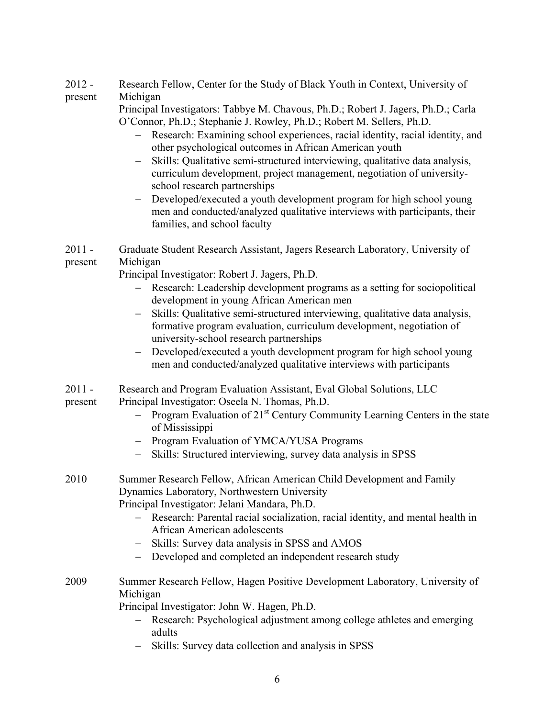| $2012 -$ | Research Fellow, Center for the Study of Black Youth in Context, University of |
|----------|--------------------------------------------------------------------------------|
| present  | Michigan                                                                       |

Principal Investigators: Tabbye M. Chavous, Ph.D.; Robert J. Jagers, Ph.D.; Carla O'Connor, Ph.D.; Stephanie J. Rowley, Ph.D.; Robert M. Sellers, Ph.D.

- Research: Examining school experiences, racial identity, racial identity, and other psychological outcomes in African American youth
- Skills: Qualitative semi-structured interviewing, qualitative data analysis, curriculum development, project management, negotiation of universityschool research partnerships
- Developed/executed a youth development program for high school young men and conducted/analyzed qualitative interviews with participants, their families, and school faculty
- $2011$ present Graduate Student Research Assistant, Jagers Research Laboratory, University of Michigan

Principal Investigator: Robert J. Jagers, Ph.D.

- Research: Leadership development programs as a setting for sociopolitical development in young African American men
- Skills: Qualitative semi-structured interviewing, qualitative data analysis, formative program evaluation, curriculum development, negotiation of university-school research partnerships
- Developed/executed a youth development program for high school young men and conducted/analyzed qualitative interviews with participants
- 2011 Research and Program Evaluation Assistant, Eval Global Solutions, LLC
- present Principal Investigator: Oseela N. Thomas, Ph.D.
	- Program Evaluation of  $21^{st}$  Century Community Learning Centers in the state of Mississippi
	- Program Evaluation of YMCA/YUSA Programs
	- Skills: Structured interviewing, survey data analysis in SPSS
- 2010 Summer Research Fellow, African American Child Development and Family Dynamics Laboratory, Northwestern University Principal Investigator: Jelani Mandara, Ph.D.
	- Research: Parental racial socialization, racial identity, and mental health in African American adolescents
	- Skills: Survey data analysis in SPSS and AMOS
	- Developed and completed an independent research study
- 2009 Summer Research Fellow, Hagen Positive Development Laboratory, University of Michigan

Principal Investigator: John W. Hagen, Ph.D.

- Research: Psychological adjustment among college athletes and emerging adults
- Skills: Survey data collection and analysis in SPSS